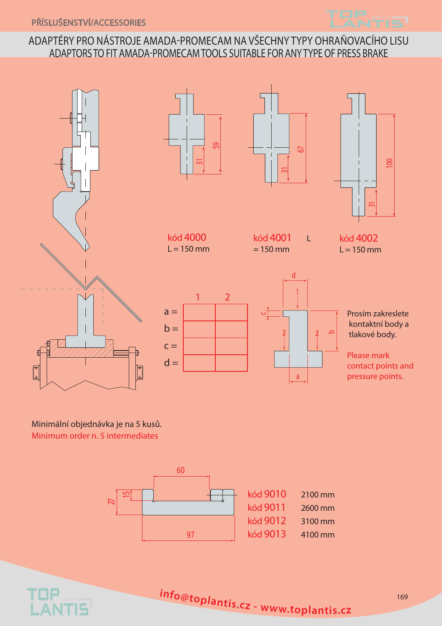

## ADAPTÉRY PRO NÁSTROJE AMADA-PROMECAM NA VŠECHNY TYPY OHRAŇOVACÍHO LISU adaptors to fit AMADA-PROMECAM tools suitable for anytypeof press brake









kód 4000  $L = 150$  mm

kód 4001 L  $= 150$  mm

d

a

kód 4002  $L = 150$  mm





Prosím zakreslete kontaktní body a tlakové body.

Please mark contact points and pressure points.

Minimální objednávka je na 5 kusů. Minimum order n. 5 intermediates